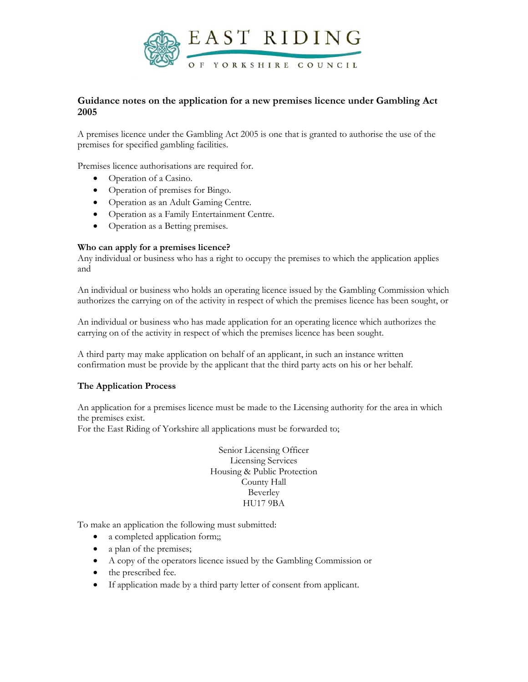

# **Guidance notes on the application for a new premises licence under Gambling Act 2005**

A premises licence under the Gambling Act 2005 is one that is granted to authorise the use of the premises for specified gambling facilities.

Premises licence authorisations are required for.

- Operation of a Casino.
- Operation of premises for Bingo.
- Operation as an Adult Gaming Centre.
- Operation as a Family Entertainment Centre.
- Operation as a Betting premises.

## **Who can apply for a premises licence?**

Any individual or business who has a right to occupy the premises to which the application applies and

An individual or business who holds an operating licence issued by the Gambling Commission which authorizes the carrying on of the activity in respect of which the premises licence has been sought, or

An individual or business who has made application for an operating licence which authorizes the carrying on of the activity in respect of which the premises licence has been sought.

A third party may make application on behalf of an applicant, in such an instance written confirmation must be provide by the applicant that the third party acts on his or her behalf.

# **The Application Process**

An application for a premises licence must be made to the Licensing authority for the area in which the premises exist.

For the East Riding of Yorkshire all applications must be forwarded to;

Senior Licensing Officer Licensing Services Housing & Public Protection County Hall Beverley HU17 9BA

To make an application the following must submitted:

- a completed application form;;
- a plan of the premises;
- A copy of the operators licence issued by the Gambling Commission or
- the prescribed fee.
- If application made by a third party letter of consent from applicant.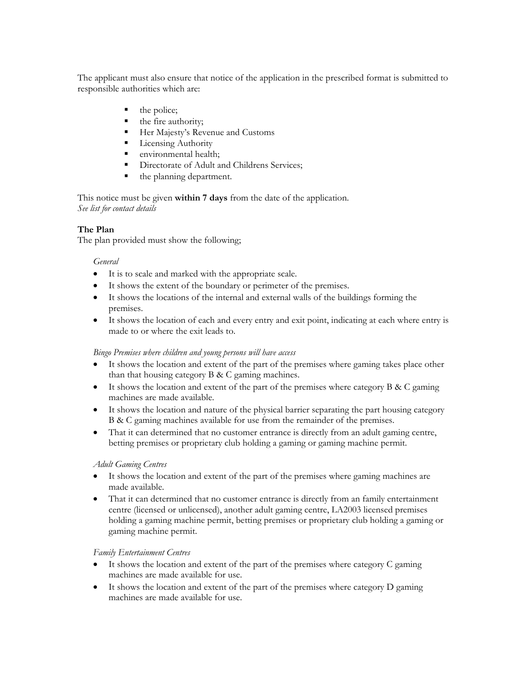The applicant must also ensure that notice of the application in the prescribed format is submitted to responsible authorities which are:

- the police;
- the fire authority;
- Her Majesty's Revenue and Customs
- **Licensing Authority**
- **E** environmental health:
- Directorate of Adult and Childrens Services;
- the planning department.

This notice must be given **within 7 days** from the date of the application. *See list for contact details* 

# **The Plan**

The plan provided must show the following;

## *General*

- It is to scale and marked with the appropriate scale.
- It shows the extent of the boundary or perimeter of the premises.
- It shows the locations of the internal and external walls of the buildings forming the premises.
- It shows the location of each and every entry and exit point, indicating at each where entry is made to or where the exit leads to.

# *Bingo Premises where children and young persons will have access*

- It shows the location and extent of the part of the premises where gaming takes place other than that housing category B & C gaming machines.
- It shows the location and extent of the part of the premises where category B & C gaming machines are made available.
- It shows the location and nature of the physical barrier separating the part housing category B & C gaming machines available for use from the remainder of the premises.
- That it can determined that no customer entrance is directly from an adult gaming centre, betting premises or proprietary club holding a gaming or gaming machine permit.

# *Adult Gaming Centres*

- It shows the location and extent of the part of the premises where gaming machines are made available.
- That it can determined that no customer entrance is directly from an family entertainment centre (licensed or unlicensed), another adult gaming centre, LA2003 licensed premises holding a gaming machine permit, betting premises or proprietary club holding a gaming or gaming machine permit.

# *Family Entertainment Centres*

- It shows the location and extent of the part of the premises where category C gaming machines are made available for use.
- $\bullet$  It shows the location and extent of the part of the premises where category D gaming machines are made available for use.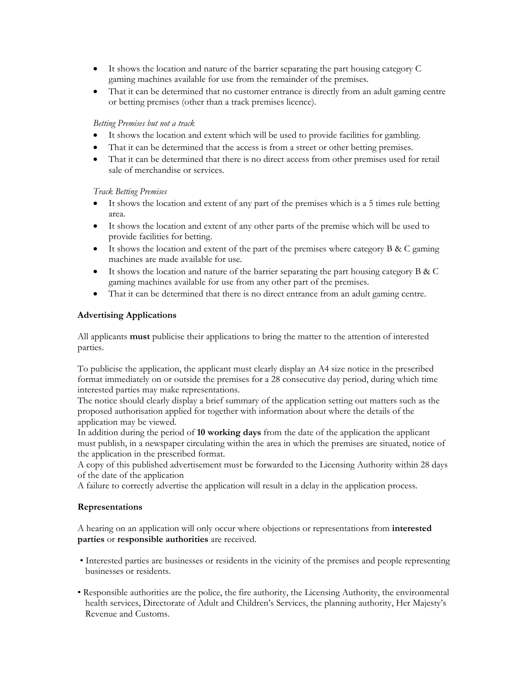- It shows the location and nature of the barrier separating the part housing category C gaming machines available for use from the remainder of the premises.
- That it can be determined that no customer entrance is directly from an adult gaming centre or betting premises (other than a track premises licence).

## *Betting Premises but not a track*

- It shows the location and extent which will be used to provide facilities for gambling.
- That it can be determined that the access is from a street or other betting premises.
- That it can be determined that there is no direct access from other premises used for retail sale of merchandise or services.

## *Track Betting Premises*

- It shows the location and extent of any part of the premises which is a 5 times rule betting area.
- It shows the location and extent of any other parts of the premise which will be used to provide facilities for betting.
- It shows the location and extent of the part of the premises where category B & C gaming machines are made available for use.
- It shows the location and nature of the barrier separating the part housing category B & C gaming machines available for use from any other part of the premises.
- That it can be determined that there is no direct entrance from an adult gaming centre.

# **Advertising Applications**

All applicants **must** publicise their applications to bring the matter to the attention of interested parties.

To publicise the application, the applicant must clearly display an A4 size notice in the prescribed format immediately on or outside the premises for a 28 consecutive day period, during which time interested parties may make representations.

The notice should clearly display a brief summary of the application setting out matters such as the proposed authorisation applied for together with information about where the details of the application may be viewed.

In addition during the period of **10 working days** from the date of the application the applicant must publish, in a newspaper circulating within the area in which the premises are situated, notice of the application in the prescribed format.

A copy of this published advertisement must be forwarded to the Licensing Authority within 28 days of the date of the application

A failure to correctly advertise the application will result in a delay in the application process.

# **Representations**

A hearing on an application will only occur where objections or representations from **interested parties** or **responsible authorities** are received.

- Interested parties are businesses or residents in the vicinity of the premises and people representing businesses or residents.
- Responsible authorities are the police, the fire authority, the Licensing Authority, the environmental health services, Directorate of Adult and Children's Services, the planning authority, Her Majesty's Revenue and Customs.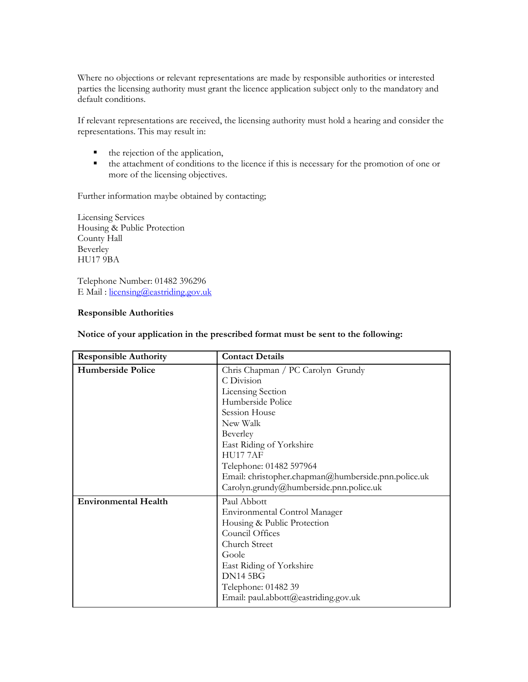Where no objections or relevant representations are made by responsible authorities or interested parties the licensing authority must grant the licence application subject only to the mandatory and default conditions.

If relevant representations are received, the licensing authority must hold a hearing and consider the representations. This may result in:

- the rejection of the application,
- the attachment of conditions to the licence if this is necessary for the promotion of one or more of the licensing objectives.

Further information maybe obtained by contacting;

Licensing Services Housing & Public Protection County Hall Beverley HU17 9BA

Telephone Number: 01482 396296 E Mail : [licensing@eastriding.gov.uk](mailto:licensing@eastriding.gov.uk)

## **Responsible Authorities**

| <b>Responsible Authority</b> | <b>Contact Details</b>                              |
|------------------------------|-----------------------------------------------------|
| <b>Humberside Police</b>     | Chris Chapman / PC Carolyn Grundy                   |
|                              | C Division                                          |
|                              | <b>Licensing Section</b>                            |
|                              | Humberside Police                                   |
|                              | Session House                                       |
|                              | New Walk                                            |
|                              | Beverley                                            |
|                              | East Riding of Yorkshire                            |
|                              | <b>HU177AF</b>                                      |
|                              | Telephone: 01482 597964                             |
|                              | Email: christopher.chapman@humberside.pnn.police.uk |
|                              | Carolyn.grundy@humberside.pnn.police.uk             |
| <b>Environmental Health</b>  | Paul Abbott                                         |
|                              | Environmental Control Manager                       |
|                              | Housing & Public Protection                         |
|                              | Council Offices                                     |
|                              | Church Street                                       |
|                              | Goole                                               |
|                              | East Riding of Yorkshire                            |
|                              | <b>DN14 5BG</b>                                     |
|                              | Telephone: 01482 39                                 |
|                              | Email: paul.abbott@eastriding.gov.uk                |

#### **Notice of your application in the prescribed format must be sent to the following:**